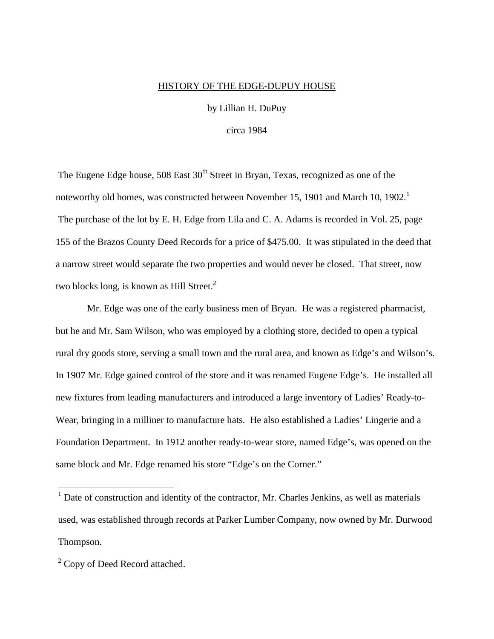## HISTORY OF THE EDGE-DUPUY HOUSE

by Lillian H. DuPuy

circa 1984

The Eugene Edge house,  $508$  East  $30<sup>th</sup>$  Street in Bryan, Texas, recognized as one of the noteworthy old homes, was constructed between November 15, 1901 and March 10, 1902.<sup>1</sup> The purchase of the lot by E. H. Edge from Lila and C. A. Adams is recorded in Vol. 25, page 155 of the Brazos County Deed Records for a price of \$475.00. It was stipulated in the deed that a narrow street would separate the two properties and would never be closed. That street, now two blocks long, is known as Hill Street. $<sup>2</sup>$ </sup>

 Mr. Edge was one of the early business men of Bryan. He was a registered pharmacist, but he and Mr. Sam Wilson, who was employed by a clothing store, decided to open a typical rural dry goods store, serving a small town and the rural area, and known as Edge's and Wilson's. In 1907 Mr. Edge gained control of the store and it was renamed Eugene Edge's. He installed all new fixtures from leading manufacturers and introduced a large inventory of Ladies' Ready-to-Wear, bringing in a milliner to manufacture hats. He also established a Ladies' Lingerie and a Foundation Department. In 1912 another ready-to-wear store, named Edge's, was opened on the same block and Mr. Edge renamed his store "Edge's on the Corner."

<sup>&</sup>lt;sup>1</sup> Date of construction and identity of the contractor, Mr. Charles Jenkins, as well as materials used, was established through records at Parker Lumber Company, now owned by Mr. Durwood Thompson.

 $2^2$  Copy of Deed Record attached.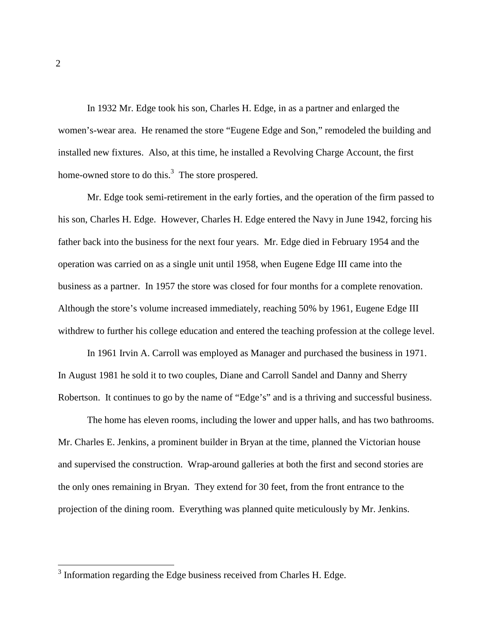In 1932 Mr. Edge took his son, Charles H. Edge, in as a partner and enlarged the women's-wear area. He renamed the store "Eugene Edge and Son," remodeled the building and installed new fixtures. Also, at this time, he installed a Revolving Charge Account, the first home-owned store to do this. $3$  The store prospered.

 Mr. Edge took semi-retirement in the early forties, and the operation of the firm passed to his son, Charles H. Edge. However, Charles H. Edge entered the Navy in June 1942, forcing his father back into the business for the next four years. Mr. Edge died in February 1954 and the operation was carried on as a single unit until 1958, when Eugene Edge III came into the business as a partner. In 1957 the store was closed for four months for a complete renovation. Although the store's volume increased immediately, reaching 50% by 1961, Eugene Edge III withdrew to further his college education and entered the teaching profession at the college level.

 In 1961 Irvin A. Carroll was employed as Manager and purchased the business in 1971. In August 1981 he sold it to two couples, Diane and Carroll Sandel and Danny and Sherry Robertson. It continues to go by the name of "Edge's" and is a thriving and successful business.

 The home has eleven rooms, including the lower and upper halls, and has two bathrooms. Mr. Charles E. Jenkins, a prominent builder in Bryan at the time, planned the Victorian house and supervised the construction. Wrap-around galleries at both the first and second stories are the only ones remaining in Bryan. They extend for 30 feet, from the front entrance to the projection of the dining room. Everything was planned quite meticulously by Mr. Jenkins.

<sup>&</sup>lt;sup>3</sup> Information regarding the Edge business received from Charles H. Edge.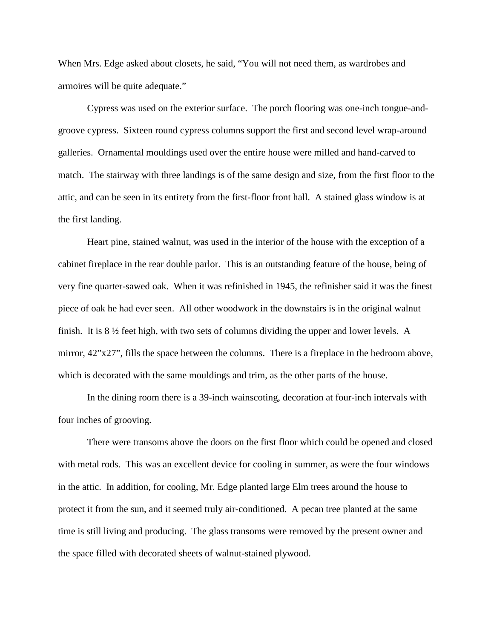When Mrs. Edge asked about closets, he said, "You will not need them, as wardrobes and armoires will be quite adequate."

 Cypress was used on the exterior surface. The porch flooring was one-inch tongue-andgroove cypress. Sixteen round cypress columns support the first and second level wrap-around galleries. Ornamental mouldings used over the entire house were milled and hand-carved to match. The stairway with three landings is of the same design and size, from the first floor to the attic, and can be seen in its entirety from the first-floor front hall. A stained glass window is at the first landing.

 Heart pine, stained walnut, was used in the interior of the house with the exception of a cabinet fireplace in the rear double parlor. This is an outstanding feature of the house, being of very fine quarter-sawed oak. When it was refinished in 1945, the refinisher said it was the finest piece of oak he had ever seen. All other woodwork in the downstairs is in the original walnut finish. It is 8 ½ feet high, with two sets of columns dividing the upper and lower levels. A mirror, 42"x27", fills the space between the columns. There is a fireplace in the bedroom above, which is decorated with the same mouldings and trim, as the other parts of the house.

 In the dining room there is a 39-inch wainscoting, decoration at four-inch intervals with four inches of grooving.

 There were transoms above the doors on the first floor which could be opened and closed with metal rods. This was an excellent device for cooling in summer, as were the four windows in the attic. In addition, for cooling, Mr. Edge planted large Elm trees around the house to protect it from the sun, and it seemed truly air-conditioned. A pecan tree planted at the same time is still living and producing. The glass transoms were removed by the present owner and the space filled with decorated sheets of walnut-stained plywood.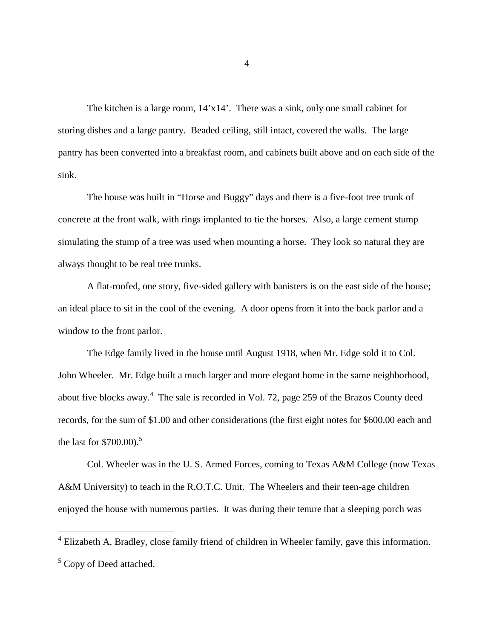The kitchen is a large room, 14'x14'. There was a sink, only one small cabinet for storing dishes and a large pantry. Beaded ceiling, still intact, covered the walls. The large pantry has been converted into a breakfast room, and cabinets built above and on each side of the sink.

 The house was built in "Horse and Buggy" days and there is a five-foot tree trunk of concrete at the front walk, with rings implanted to tie the horses. Also, a large cement stump simulating the stump of a tree was used when mounting a horse. They look so natural they are always thought to be real tree trunks.

 A flat-roofed, one story, five-sided gallery with banisters is on the east side of the house; an ideal place to sit in the cool of the evening. A door opens from it into the back parlor and a window to the front parlor.

 The Edge family lived in the house until August 1918, when Mr. Edge sold it to Col. John Wheeler. Mr. Edge built a much larger and more elegant home in the same neighborhood, about five blocks away.<sup>4</sup> The sale is recorded in Vol. 72, page 259 of the Brazos County deed records, for the sum of \$1.00 and other considerations (the first eight notes for \$600.00 each and the last for  $$700.00$ .<sup>5</sup>

 Col. Wheeler was in the U. S. Armed Forces, coming to Texas A&M College (now Texas A&M University) to teach in the R.O.T.C. Unit. The Wheelers and their teen-age children enjoyed the house with numerous parties. It was during their tenure that a sleeping porch was

4

<sup>4&</sup>lt;br><sup>4</sup> Elizabeth A. Bradley, close family friend of children in Wheeler family, gave this information.

<sup>&</sup>lt;sup>5</sup> Copy of Deed attached.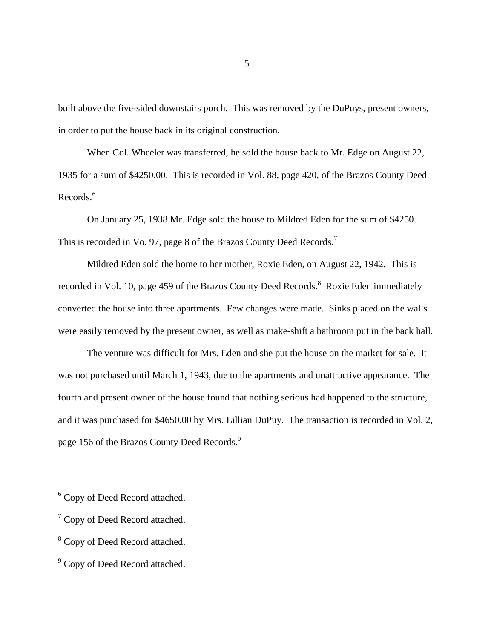built above the five-sided downstairs porch. This was removed by the DuPuys, present owners, in order to put the house back in its original construction.

 When Col. Wheeler was transferred, he sold the house back to Mr. Edge on August 22, 1935 for a sum of \$4250.00. This is recorded in Vol. 88, page 420, of the Brazos County Deed Records.<sup>6</sup>

 On January 25, 1938 Mr. Edge sold the house to Mildred Eden for the sum of \$4250. This is recorded in Vo. 97, page 8 of the Brazos County Deed Records.<sup>7</sup>

 Mildred Eden sold the home to her mother, Roxie Eden, on August 22, 1942. This is recorded in Vol. 10, page 459 of the Brazos County Deed Records.<sup>8</sup> Roxie Eden immediately converted the house into three apartments. Few changes were made. Sinks placed on the walls were easily removed by the present owner, as well as make-shift a bathroom put in the back hall.

 The venture was difficult for Mrs. Eden and she put the house on the market for sale. It was not purchased until March 1, 1943, due to the apartments and unattractive appearance. The fourth and present owner of the house found that nothing serious had happened to the structure, and it was purchased for \$4650.00 by Mrs. Lillian DuPuy. The transaction is recorded in Vol. 2, page 156 of the Brazos County Deed Records.<sup>9</sup>

<sup>&</sup>lt;sup>6</sup> Copy of Deed Record attached.

 $7$  Copy of Deed Record attached.

<sup>&</sup>lt;sup>8</sup> Copy of Deed Record attached.

<sup>&</sup>lt;sup>9</sup> Copy of Deed Record attached.